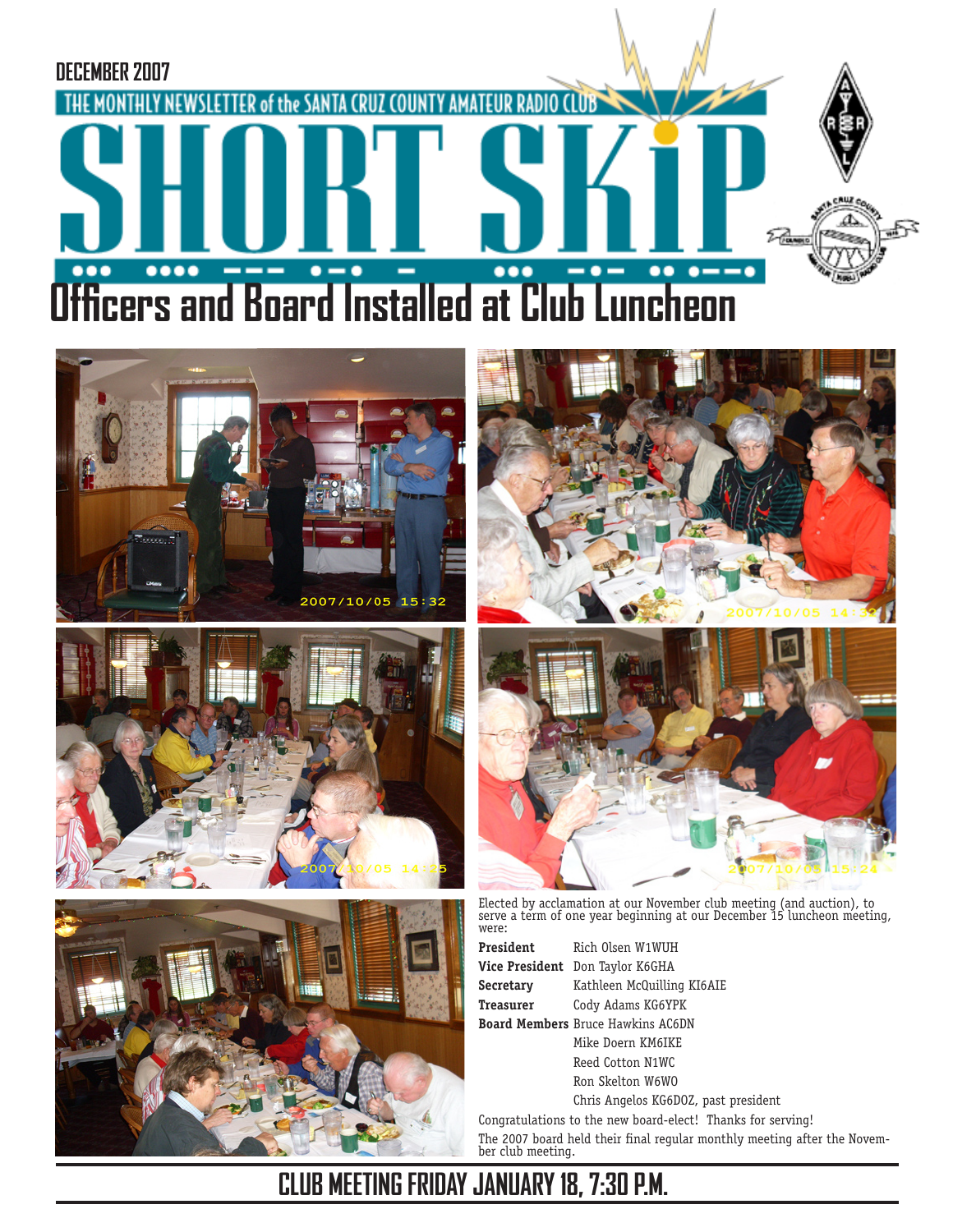











Elected by acclamation at our November club meeting (and auction), to serve a term of one year beginning at our December 15 luncheon meeting, were:

**President** Rich Olsen W1WUH **Vice President** Don Taylor K6GHA **Secretary** Kathleen McQuilling KI6AIE **Treasurer** Cody Adams KG6YPK **Board Members** Bruce Hawkins AC6DN Mike Doern KM6IKE Reed Cotton N1WC Ron Skelton W6WO Chris Angelos KG6DOZ, past president

Congratulations to the new board-elect! Thanks for serving! The 2007 board held their final regular monthly meeting after the November club meeting.

## **CLUB MEETING FRIDAY JANUARY 18, 7:30 P.M.**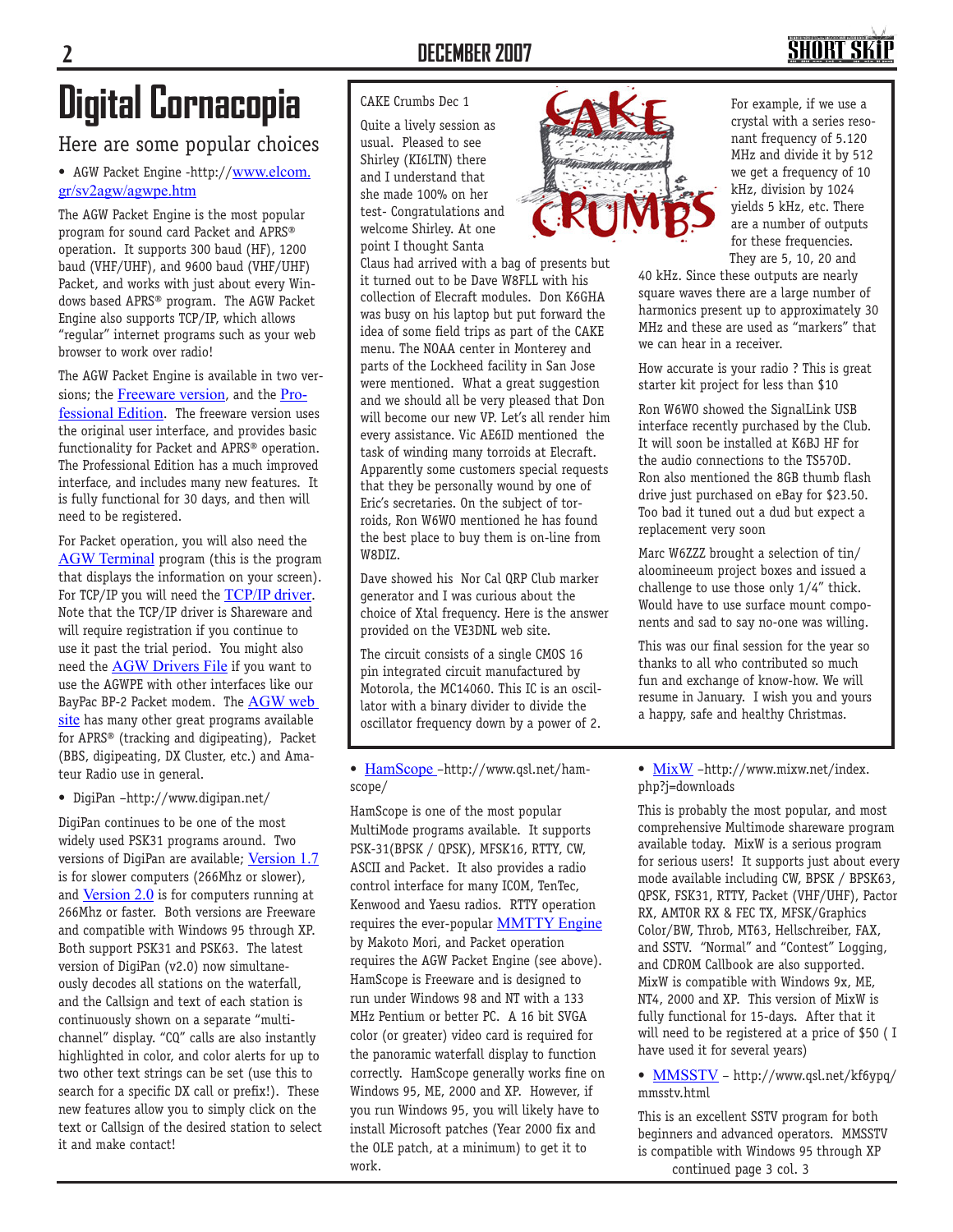## SHORT SI

# **Digital Cornacopia**

### Here are some popular choices

• AGW Packet Engine -http://www.elcom. gr/sv2agw/agwpe.htm

The AGW Packet Engine is the most popular program for sound card Packet and APRS® operation. It supports 300 baud (HF), 1200 baud (VHF/UHF), and 9600 baud (VHF/UHF) Packet, and works with just about every Windows based APRS® program. The AGW Packet Engine also supports TCP/IP, which allows "regular" internet programs such as your web browser to work over radio!

The AGW Packet Engine is available in two versions; the **Freeware version**, and the Professional Edition. The freeware version uses the original user interface, and provides basic functionality for Packet and APRS® operation. The Professional Edition has a much improved interface, and includes many new features. It is fully functional for 30 days, and then will need to be registered.

For Packet operation, you will also need the AGW Terminal program (this is the program that displays the information on your screen). For TCP/IP you will need the TCP/IP driver. Note that the TCP/IP driver is Shareware and will require registration if you continue to use it past the trial period. You might also need the AGW Drivers File if you want to use the AGWPE with other interfaces like our BayPac BP-2 Packet modem. The AGW web site has many other great programs available for APRS® (tracking and digipeating), Packet (BBS, digipeating, DX Cluster, etc.) and Amateur Radio use in general.

• DigiPan –http://www.digipan.net/

DigiPan continues to be one of the most widely used PSK31 programs around. Two versions of DigiPan are available; Version 1.7 is for slower computers (266Mhz or slower), and Version 2.0 is for computers running at 266Mhz or faster. Both versions are Freeware and compatible with Windows 95 through XP. Both support PSK31 and PSK63. The latest version of DigiPan (v2.0) now simultaneously decodes all stations on the waterfall, and the Callsign and text of each station is continuously shown on a separate "multichannel" display. "CQ" calls are also instantly highlighted in color, and color alerts for up to two other text strings can be set (use this to search for a specific DX call or prefix!). These new features allow you to simply click on the text or Callsign of the desired station to select it and make contact!

#### CAKE Crumbs Dec 1

Quite a lively session as usual. Pleased to see Shirley (KI6LTN) there and I understand that she made 100% on her test- Congratulations and welcome Shirley. At one point I thought Santa

Claus had arrived with a bag of presents but it turned out to be Dave W8FLL with his collection of Elecraft modules. Don K6GHA was busy on his laptop but put forward the idea of some field trips as part of the CAKE menu. The NOAA center in Monterey and parts of the Lockheed facility in San Jose were mentioned. What a great suggestion and we should all be very pleased that Don will become our new VP. Let's all render him every assistance. Vic AE6ID mentioned the task of winding many torroids at Elecraft. Apparently some customers special requests that they be personally wound by one of Eric's secretaries. On the subject of torroids, Ron W6WO mentioned he has found the best place to buy them is on-line from W8DIZ.

Dave showed his Nor Cal QRP Club marker generator and I was curious about the choice of Xtal frequency. Here is the answer provided on the VE3DNL web site.

The circuit consists of a single CMOS 16 pin integrated circuit manufactured by Motorola, the MC14060. This IC is an oscillator with a binary divider to divide the oscillator frequency down by a power of 2.

#### • HamScope –http://www.qsl.net/hamscope/

HamScope is one of the most popular MultiMode programs available. It supports PSK-31(BPSK / QPSK), MFSK16, RTTY, CW, ASCII and Packet. It also provides a radio control interface for many ICOM, TenTec, Kenwood and Yaesu radios. RTTY operation requires the ever-popular **MMTTY** Engine by Makoto Mori, and Packet operation requires the AGW Packet Engine (see above). HamScope is Freeware and is designed to run under Windows 98 and NT with a 133 MHz Pentium or better PC. A 16 bit SVGA color (or greater) video card is required for the panoramic waterfall display to function correctly. HamScope generally works fine on Windows 95, ME, 2000 and XP. However, if you run Windows 95, you will likely have to install Microsoft patches (Year 2000 fix and the OLE patch, at a minimum) to get it to work.



For example, if we use a crystal with a series resonant frequency of 5.120 MHz and divide it by 512 we get a frequency of 10 kHz, division by 1024 yields 5 kHz, etc. There are a number of outputs for these frequencies. They are 5, 10, 20 and

40 kHz. Since these outputs are nearly square waves there are a large number of harmonics present up to approximately 30 MHz and these are used as "markers" that we can hear in a receiver.

How accurate is your radio ? This is great starter kit project for less than \$10

Ron W6WO showed the SignalLink USB interface recently purchased by the Club. It will soon be installed at K6BJ HF for the audio connections to the TS570D. Ron also mentioned the 8GB thumb flash drive just purchased on eBay for \$23.50. Too bad it tuned out a dud but expect a replacement very soon

Marc W6ZZZ brought a selection of tin/ aloomineeum project boxes and issued a challenge to use those only 1/4" thick. Would have to use surface mount components and sad to say no-one was willing.

This was our final session for the year so thanks to all who contributed so much fun and exchange of know-how. We will resume in January. I wish you and yours a happy, safe and healthy Christmas.

• MixW -http://www.mixw.net/index. php?j=downloads

This is probably the most popular, and most comprehensive Multimode shareware program available today. MixW is a serious program for serious users! It supports just about every mode available including CW, BPSK / BPSK63, QPSK, FSK31, RTTY, Packet (VHF/UHF), Pactor RX, AMTOR RX & FEC TX, MFSK/Graphics Color/BW, Throb, MT63, Hellschreiber, FAX, and SSTV. "Normal" and "Contest" Logging, and CDROM Callbook are also supported. MixW is compatible with Windows 9x, ME, NT4, 2000 and XP. This version of MixW is fully functional for 15-days. After that it will need to be registered at a price of \$50 ( I have used it for several years)

• MMSSTV – http://www.qsl.net/kf6ypq/ mmsstv.html

This is an excellent SSTV program for both beginners and advanced operators. MMSSTV is compatible with Windows 95 through XP continued page 3 col. 3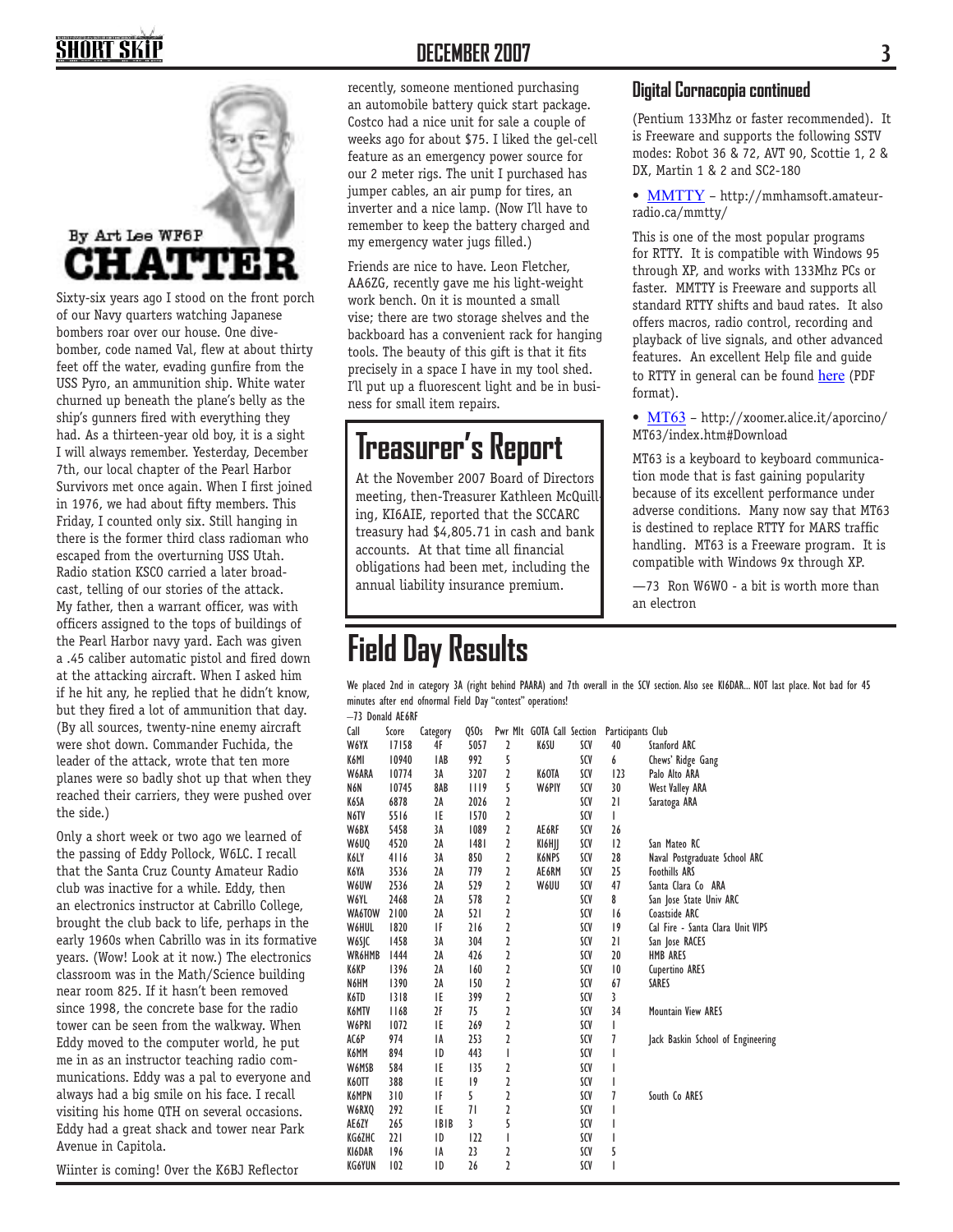## **HORT SK**



Sixty-six years ago I stood on the front porch of our Navy quarters watching Japanese bombers roar over our house. One divebomber, code named Val, flew at about thirty feet off the water, evading gunfire from the USS Pyro, an ammunition ship. White water churned up beneath the plane's belly as the ship's gunners fired with everything they had. As a thirteen-year old boy, it is a sight I will always remember. Yesterday, December 7th, our local chapter of the Pearl Harbor Survivors met once again. When I first joined in 1976, we had about fifty members. This Friday, I counted only six. Still hanging in there is the former third class radioman who escaped from the overturning USS Utah. Radio station KSCO carried a later broadcast, telling of our stories of the attack. My father, then a warrant officer, was with officers assigned to the tops of buildings of the Pearl Harbor navy yard. Each was given a .45 caliber automatic pistol and fired down at the attacking aircraft. When I asked him if he hit any, he replied that he didn't know, but they fired a lot of ammunition that day. (By all sources, twenty-nine enemy aircraft were shot down. Commander Fuchida, the leader of the attack, wrote that ten more planes were so badly shot up that when they reached their carriers, they were pushed over the side.)

Only a short week or two ago we learned of the passing of Eddy Pollock, W6LC. I recall that the Santa Cruz County Amateur Radio club was inactive for a while. Eddy, then an electronics instructor at Cabrillo College, brought the club back to life, perhaps in the early 1960s when Cabrillo was in its formative years. (Wow! Look at it now.) The electronics classroom was in the Math/Science building near room 825. If it hasn't been removed since 1998, the concrete base for the radio tower can be seen from the walkway. When Eddy moved to the computer world, he put me in as an instructor teaching radio communications. Eddy was a pal to everyone and always had a big smile on his face. I recall visiting his home QTH on several occasions. Eddy had a great shack and tower near Park Avenue in Capitola.

Wiinter is coming! Over the K6BJ Reflector

### **DECEMBER 2007 3**

recently, someone mentioned purchasing an automobile battery quick start package. Costco had a nice unit for sale a couple of weeks ago for about \$75. I liked the gel-cell feature as an emergency power source for our 2 meter rigs. The unit I purchased has jumper cables, an air pump for tires, an inverter and a nice lamp. (Now I'll have to remember to keep the battery charged and my emergency water jugs filled.)

Friends are nice to have. Leon Fletcher, AA6ZG, recently gave me his light-weight work bench. On it is mounted a small vise; there are two storage shelves and the backboard has a convenient rack for hanging tools. The beauty of this gift is that it fits precisely in a space I have in my tool shed. I'll put up a fluorescent light and be in business for small item repairs.

## **Treasurer's Report**

At the November 2007 Board of Directors meeting, then-Treasurer Kathleen McQuilling, KI6AIE, reported that the SCCARC treasury had \$4,805.71 in cash and bank accounts. At that time all financial obligations had been met, including the annual liability insurance premium.

## **Field Day Results**

#### **Digital Cornacopia continued**

(Pentium 133Mhz or faster recommended). It is Freeware and supports the following SSTV modes: Robot 36 & 72, AVT 90, Scottie 1, 2 & DX, Martin 1 & 2 and SC2-180

• MMTTY - http://mmhamsoft.amateurradio.ca/mmtty/

This is one of the most popular programs for RTTY. It is compatible with Windows 95 through XP, and works with 133Mhz PCs or faster. MMTTY is Freeware and supports all standard RTTY shifts and baud rates. It also offers macros, radio control, recording and playback of live signals, and other advanced features. An excellent Help file and guide to RTTY in general can be found here (PDF format).

• MT63 – http://xoomer.alice.it/aporcino/ MT63/index.htm#Download

MT63 is a keyboard to keyboard communication mode that is fast gaining popularity because of its excellent performance under adverse conditions. Many now say that MT63 is destined to replace RTTY for MARS traffic handling. MT63 is a Freeware program. It is compatible with Windows 9x through XP.

—73 Ron W6WO - a bit is worth more than an electron

We placed 2nd in category 3A (right behind PAARA) and 7th overall in the SCV section. Also see KI6DAR... NOT last place. Not bad for 45 minutes after end ofnormal Field Day "contest" operations!

–73 Donald AE6RF

| Call   | Score | Category    | QSOs        |   | Pwr Mlt GOTA Call Section |     | Participants Club |                                   |
|--------|-------|-------------|-------------|---|---------------------------|-----|-------------------|-----------------------------------|
| W6YX   | 17158 | 4F          | 5057        | 2 | K6SU                      | SCV | 40                | Stanford ARC                      |
| K6MI   | 10940 | <b>IAB</b>  | 992         | 5 |                           | SCV | 6                 | Chews' Ridge Gang                 |
| W6ARA  | 10774 | 3A          | 3207        | 2 | K6OTA                     | SCV | 123               | Palo Alto ARA                     |
| N6N    | 10745 | 8AB         | 1119        | 5 | W6PIY                     | SCV | 30                | <b>West Valley ARA</b>            |
| K6SA   | 6878  | 2A          | 2026        | 2 |                           | SCV | 21                | Saratoga ARA                      |
| N6TV   | 5516  | IE          | 1570        | 2 |                           | SCV | L                 |                                   |
| W6BX   | 5458  | 3A          | 1089        | 2 | AE6RF                     | SCV | 26                |                                   |
| W6UQ   | 4520  | 2A          | 1481        | 2 | KI6HJJ                    | SCV | 12                | San Mateo RC                      |
| K6LY   | 4116  | 3A          | 850         | 2 | K6NPS                     | SCV | 28                | Naval Postgraduate School ARC     |
| K6YA   | 3536  | 2A          | 779         | 2 | AE6RM                     | SCV | 25                | <b>Foothills ARS</b>              |
| W6UW   | 2536  | 2A          | 529         | 2 | W6UU                      | SCV | 47                | Santa Clara Co ARA                |
| W6YL   | 2468  | 2A          | 578         | 2 |                           | SCV | 8                 | San Jose State Univ ARC           |
| WA6TOW | 2100  | 2A          | 52 I        | 2 |                           | SCV | 16                | Coastside ARC                     |
| W6HUL  | 1820  | IF          | 216         | 2 |                           | SCV | 19                | Cal Fire - Santa Clara Unit VIPS  |
| W6SJC  | 1458  | 3A          | 304         | 2 |                           | SCV | 21                | San Jose RACES                    |
| WR6HMB | 1444  | 2A          | 426         | 2 |                           | SCV | 20                | <b>HMB ARES</b>                   |
| K6KP   | 1396  | 2A          | 160         | 2 |                           | SCV | 10                | <b>Cupertino ARES</b>             |
| N6HM   | 1390  | 2A          | 150         | 2 |                           | SCV | 67                | SARES                             |
| K6TD   | 1318  | IE          | 399         | 2 |                           | SCV | 3                 |                                   |
| K6MTV  | 1168  | 2F          | 75          | 2 |                           | SCV | 34                | <b>Mountain View ARES</b>         |
| W6PRI  | 1072  | IE          | 269         | 2 |                           | SCV | I                 |                                   |
| AC6P   | 974   | IA          | 253         | 2 |                           | SCV | 7                 | Jack Baskin School of Engineering |
| K6MM   | 894   | ID          | 443         | I |                           | SCV | I                 |                                   |
| W6MSB  | 584   | IE          | 135         | 2 |                           | SCV | I                 |                                   |
| K6OTT  | 388   | IE          | $ 9\rangle$ | 2 |                           | SCV | I                 |                                   |
| K6MPN  | 310   | IF          | 5           | 2 |                           | SCV | 7                 | South Co ARES                     |
| W6RXQ  | 292   | IE          | 71          | 2 |                           | SCV | I                 |                                   |
| AE6ZY  | 265   | <b>IBIB</b> | 3           | 5 |                           | SCV | I                 |                                   |
| KG6ZHC | 221   | ID          | 122         | I |                           | SCV | I                 |                                   |
| KI6DAR | 196   | IA          | 23          | 2 |                           | SCV | 5                 |                                   |
| KG6YUN | 102   | ID          | 26          | 2 |                           | SCV | I                 |                                   |
|        |       |             |             |   |                           |     |                   |                                   |